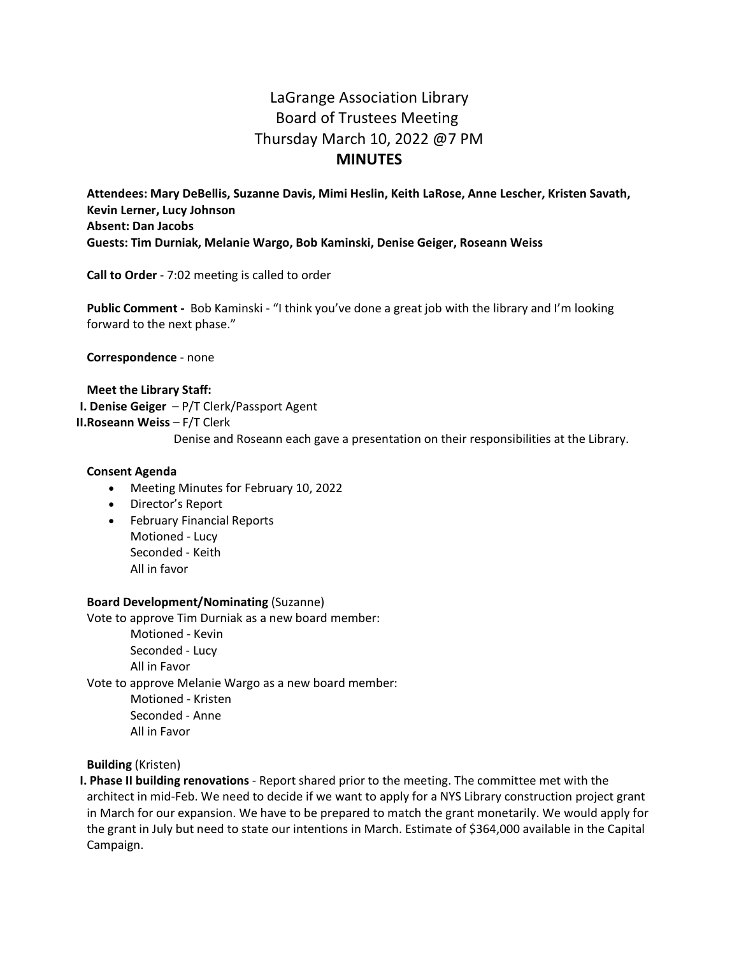# LaGrange Association Library Board of Trustees Meeting Thursday March 10, 2022 @7 PM **MINUTES**

**Attendees: Mary DeBellis, Suzanne Davis, Mimi Heslin, Keith LaRose, Anne Lescher, Kristen Savath, Kevin Lerner, Lucy Johnson Absent: Dan Jacobs Guests: Tim Durniak, Melanie Wargo, Bob Kaminski, Denise Geiger, Roseann Weiss**

**Call to Order** - 7:02 meeting is called to order

**Public Comment -** Bob Kaminski - "I think you've done a great job with the library and I'm looking forward to the next phase."

**Correspondence** - none

# **Meet the Library Staff: I. Denise Geiger** – P/T Clerk/Passport Agent **II.Roseann Weiss** – F/T Clerk Denise and Roseann each gave a presentation on their responsibilities at the Library.

#### **Consent Agenda**

- Meeting Minutes for February 10, 2022
- Director's Report
- February Financial Reports Motioned - Lucy Seconded - Keith All in favor

#### **Board Development/Nominating** (Suzanne)

Vote to approve Tim Durniak as a new board member:

Motioned - Kevin Seconded - Lucy All in Favor Vote to approve Melanie Wargo as a new board member: Motioned - Kristen Seconded - Anne All in Favor

**Building** (Kristen)

**I. Phase II building renovations** - Report shared prior to the meeting. The committee met with the architect in mid-Feb. We need to decide if we want to apply for a NYS Library construction project grant in March for our expansion. We have to be prepared to match the grant monetarily. We would apply for the grant in July but need to state our intentions in March. Estimate of \$364,000 available in the Capital Campaign.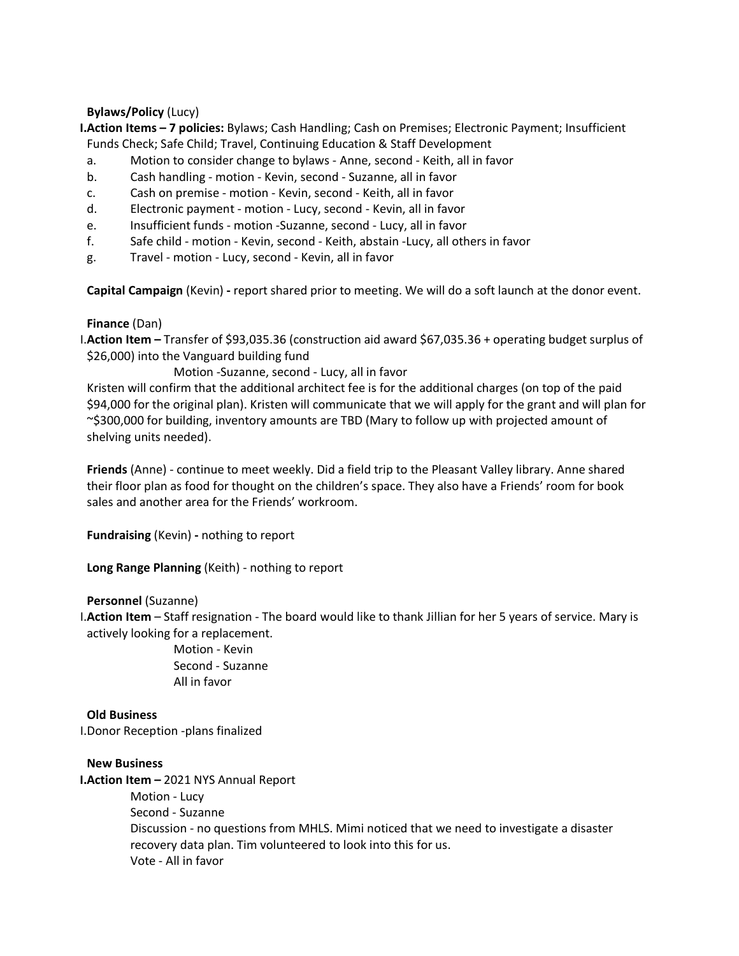# **Bylaws/Policy** (Lucy)

- **I.Action Items 7 policies:** Bylaws; Cash Handling; Cash on Premises; Electronic Payment; Insufficient Funds Check; Safe Child; Travel, Continuing Education & Staff Development
- a. Motion to consider change to bylaws Anne, second Keith, all in favor
- b. Cash handling motion Kevin, second Suzanne, all in favor
- c. Cash on premise motion Kevin, second Keith, all in favor
- d. Electronic payment motion Lucy, second Kevin, all in favor
- e. Insufficient funds motion -Suzanne, second Lucy, all in favor
- f. Safe child motion Kevin, second Keith, abstain -Lucy, all others in favor
- g. Travel motion Lucy, second Kevin, all in favor

**Capital Campaign** (Kevin) **-** report shared prior to meeting. We will do a soft launch at the donor event.

## **Finance** (Dan)

I.**Action Item –** Transfer of \$93,035.36 (construction aid award \$67,035.36 + operating budget surplus of \$26,000) into the Vanguard building fund

# Motion -Suzanne, second - Lucy, all in favor

Kristen will confirm that the additional architect fee is for the additional charges (on top of the paid \$94,000 for the original plan). Kristen will communicate that we will apply for the grant and will plan for ~\$300,000 for building, inventory amounts are TBD (Mary to follow up with projected amount of shelving units needed).

**Friends** (Anne) - continue to meet weekly. Did a field trip to the Pleasant Valley library. Anne shared their floor plan as food for thought on the children's space. They also have a Friends' room for book sales and another area for the Friends' workroom.

**Fundraising** (Kevin) **-** nothing to report

**Long Range Planning** (Keith) - nothing to report

## **Personnel** (Suzanne)

I.**Action Item** – Staff resignation - The board would like to thank Jillian for her 5 years of service. Mary is actively looking for a replacement.

> Motion - Kevin Second - Suzanne All in favor

# **Old Business**

I.Donor Reception -plans finalized

## **New Business**

**I.Action Item –** 2021 NYS Annual Report

Motion - Lucy Second - Suzanne Discussion - no questions from MHLS. Mimi noticed that we need to investigate a disaster recovery data plan. Tim volunteered to look into this for us. Vote - All in favor